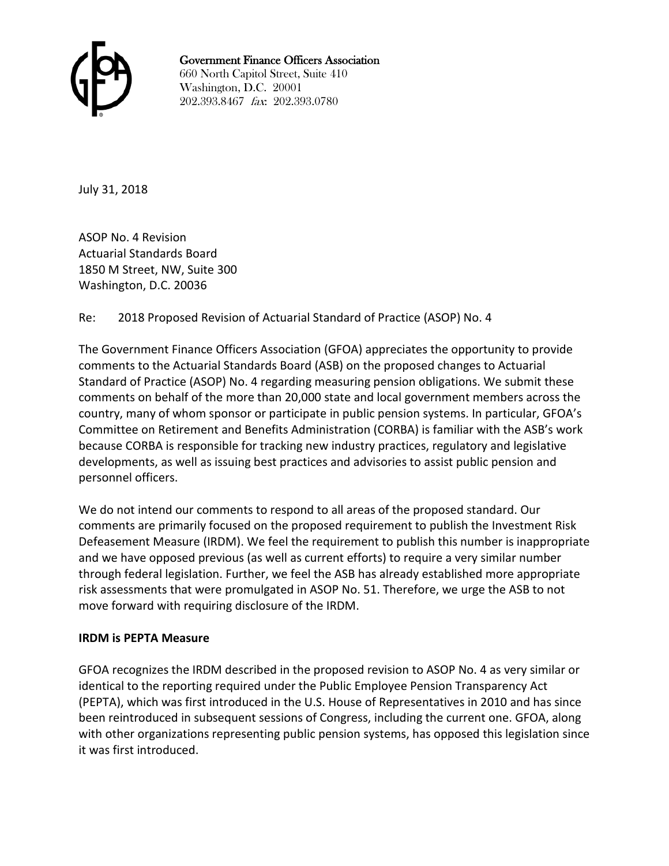

Government Finance Officers Association

660 North Capitol Street, Suite 410 Washington, D.C. 20001 202.393.8467 fax: 202.393.0780

July 31, 2018

ASOP No. 4 Revision Actuarial Standards Board 1850 M Street, NW, Suite 300 Washington, D.C. 20036

### Re: 2018 Proposed Revision of Actuarial Standard of Practice (ASOP) No. 4

The Government Finance Officers Association (GFOA) appreciates the opportunity to provide comments to the Actuarial Standards Board (ASB) on the proposed changes to Actuarial Standard of Practice (ASOP) No. 4 regarding measuring pension obligations. We submit these comments on behalf of the more than 20,000 state and local government members across the country, many of whom sponsor or participate in public pension systems. In particular, GFOA's Committee on Retirement and Benefits Administration (CORBA) is familiar with the ASB's work because CORBA is responsible for tracking new industry practices, regulatory and legislative developments, as well as issuing best practices and advisories to assist public pension and personnel officers.

We do not intend our comments to respond to all areas of the proposed standard. Our comments are primarily focused on the proposed requirement to publish the Investment Risk Defeasement Measure (IRDM). We feel the requirement to publish this number is inappropriate and we have opposed previous (as well as current efforts) to require a very similar number through federal legislation. Further, we feel the ASB has already established more appropriate risk assessments that were promulgated in ASOP No. 51. Therefore, we urge the ASB to not move forward with requiring disclosure of the IRDM.

### **IRDM is PEPTA Measure**

GFOA recognizes the IRDM described in the proposed revision to ASOP No. 4 as very similar or identical to the reporting required under the Public Employee Pension Transparency Act (PEPTA), which was first introduced in the U.S. House of Representatives in 2010 and has since been reintroduced in subsequent sessions of Congress, including the current one. GFOA, along with other organizations representing public pension systems, has opposed this legislation since it was first introduced.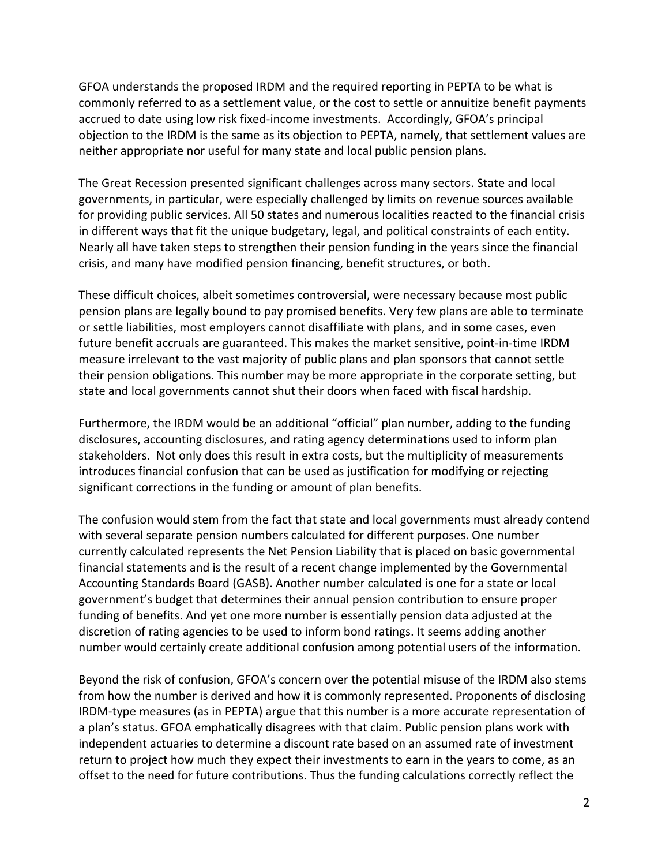GFOA understands the proposed IRDM and the required reporting in PEPTA to be what is commonly referred to as a settlement value, or the cost to settle or annuitize benefit payments accrued to date using low risk fixed-income investments. Accordingly, GFOA's principal objection to the IRDM is the same as its objection to PEPTA, namely, that settlement values are neither appropriate nor useful for many state and local public pension plans.

The Great Recession presented significant challenges across many sectors. State and local governments, in particular, were especially challenged by limits on revenue sources available for providing public services. All 50 states and numerous localities reacted to the financial crisis in different ways that fit the unique budgetary, legal, and political constraints of each entity. Nearly all have taken steps to strengthen their pension funding in the years since the financial crisis, and many have modified pension financing, benefit structures, or both.

These difficult choices, albeit sometimes controversial, were necessary because most public pension plans are legally bound to pay promised benefits. Very few plans are able to terminate or settle liabilities, most employers cannot disaffiliate with plans, and in some cases, even future benefit accruals are guaranteed. This makes the market sensitive, point-in-time IRDM measure irrelevant to the vast majority of public plans and plan sponsors that cannot settle their pension obligations. This number may be more appropriate in the corporate setting, but state and local governments cannot shut their doors when faced with fiscal hardship.

Furthermore, the IRDM would be an additional "official" plan number, adding to the funding disclosures, accounting disclosures, and rating agency determinations used to inform plan stakeholders. Not only does this result in extra costs, but the multiplicity of measurements introduces financial confusion that can be used as justification for modifying or rejecting significant corrections in the funding or amount of plan benefits.

The confusion would stem from the fact that state and local governments must already contend with several separate pension numbers calculated for different purposes. One number currently calculated represents the Net Pension Liability that is placed on basic governmental financial statements and is the result of a recent change implemented by the Governmental Accounting Standards Board (GASB). Another number calculated is one for a state or local government's budget that determines their annual pension contribution to ensure proper funding of benefits. And yet one more number is essentially pension data adjusted at the discretion of rating agencies to be used to inform bond ratings. It seems adding another number would certainly create additional confusion among potential users of the information.

Beyond the risk of confusion, GFOA's concern over the potential misuse of the IRDM also stems from how the number is derived and how it is commonly represented. Proponents of disclosing IRDM-type measures (as in PEPTA) argue that this number is a more accurate representation of a plan's status. GFOA emphatically disagrees with that claim. Public pension plans work with independent actuaries to determine a discount rate based on an assumed rate of investment return to project how much they expect their investments to earn in the years to come, as an offset to the need for future contributions. Thus the funding calculations correctly reflect the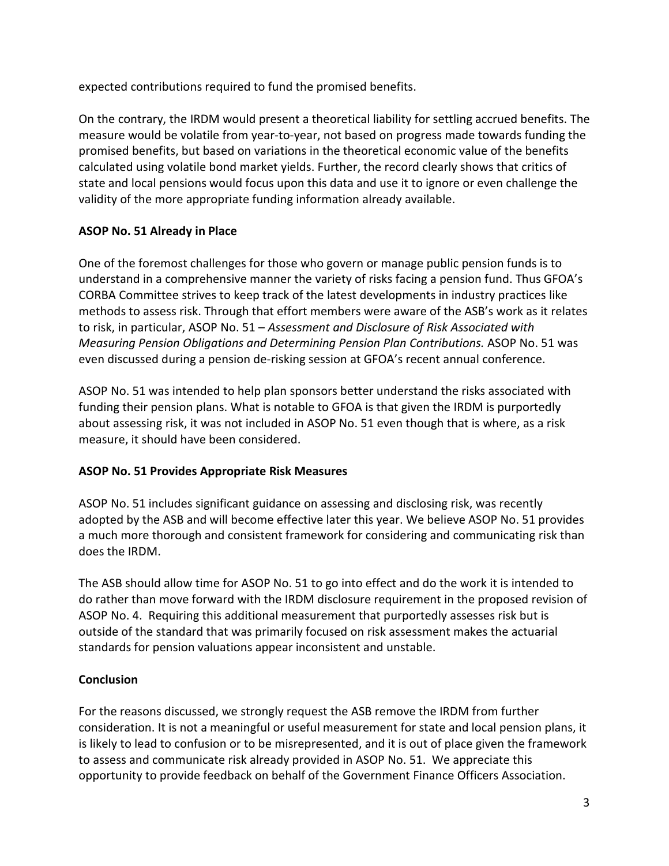expected contributions required to fund the promised benefits.

On the contrary, the IRDM would present a theoretical liability for settling accrued benefits. The measure would be volatile from year-to-year, not based on progress made towards funding the promised benefits, but based on variations in the theoretical economic value of the benefits calculated using volatile bond market yields. Further, the record clearly shows that critics of state and local pensions would focus upon this data and use it to ignore or even challenge the validity of the more appropriate funding information already available.

# **ASOP No. 51 Already in Place**

One of the foremost challenges for those who govern or manage public pension funds is to understand in a comprehensive manner the variety of risks facing a pension fund. Thus GFOA's CORBA Committee strives to keep track of the latest developments in industry practices like methods to assess risk. Through that effort members were aware of the ASB's work as it relates to risk, in particular, ASOP No. 51 – *Assessment and Disclosure of Risk Associated with Measuring Pension Obligations and Determining Pension Plan Contributions.* ASOP No. 51 was even discussed during a pension de-risking session at GFOA's recent annual conference.

ASOP No. 51 was intended to help plan sponsors better understand the risks associated with funding their pension plans. What is notable to GFOA is that given the IRDM is purportedly about assessing risk, it was not included in ASOP No. 51 even though that is where, as a risk measure, it should have been considered.

# **ASOP No. 51 Provides Appropriate Risk Measures**

ASOP No. 51 includes significant guidance on assessing and disclosing risk, was recently adopted by the ASB and will become effective later this year. We believe ASOP No. 51 provides a much more thorough and consistent framework for considering and communicating risk than does the IRDM.

The ASB should allow time for ASOP No. 51 to go into effect and do the work it is intended to do rather than move forward with the IRDM disclosure requirement in the proposed revision of ASOP No. 4. Requiring this additional measurement that purportedly assesses risk but is outside of the standard that was primarily focused on risk assessment makes the actuarial standards for pension valuations appear inconsistent and unstable.

# **Conclusion**

For the reasons discussed, we strongly request the ASB remove the IRDM from further consideration. It is not a meaningful or useful measurement for state and local pension plans, it is likely to lead to confusion or to be misrepresented, and it is out of place given the framework to assess and communicate risk already provided in ASOP No. 51. We appreciate this opportunity to provide feedback on behalf of the Government Finance Officers Association.